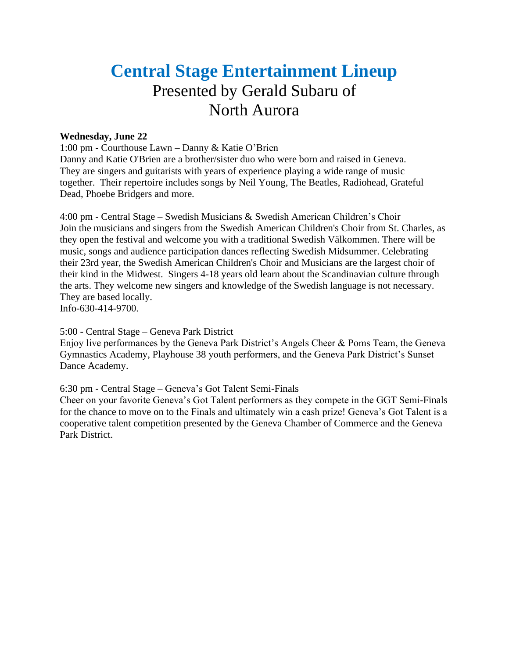# **Central Stage Entertainment Lineup** Presented by Gerald Subaru of North Aurora

# **Wednesday, June 22**

1:00 pm - Courthouse Lawn – Danny & Katie O'Brien

Danny and Katie O'Brien are a brother/sister duo who were born and raised in Geneva. They are singers and guitarists with years of experience playing a wide range of music together. Their repertoire includes songs by Neil Young, The Beatles, Radiohead, Grateful Dead, Phoebe Bridgers and more.

4:00 pm - Central Stage – Swedish Musicians & Swedish American Children's Choir Join the musicians and singers from the Swedish American Children's Choir from St. Charles, as they open the festival and welcome you with a traditional Swedish Välkommen. There will be music, songs and audience participation dances reflecting Swedish Midsummer. Celebrating their 23rd year, the Swedish American Children's Choir and Musicians are the largest choir of their kind in the Midwest. Singers 4-18 years old learn about the Scandinavian culture through the arts. They welcome new singers and knowledge of the Swedish language is not necessary. They are based locally.

Info-630-414-9700.

5:00 - Central Stage – Geneva Park District

Enjoy live performances by the Geneva Park District's Angels Cheer & Poms Team, the Geneva Gymnastics Academy, Playhouse 38 youth performers, and the Geneva Park District's Sunset Dance Academy.

6:30 pm - Central Stage – Geneva's Got Talent Semi-Finals

Cheer on your favorite Geneva's Got Talent performers as they compete in the GGT Semi-Finals for the chance to move on to the Finals and ultimately win a cash prize! Geneva's Got Talent is a cooperative talent competition presented by the Geneva Chamber of Commerce and the Geneva Park District.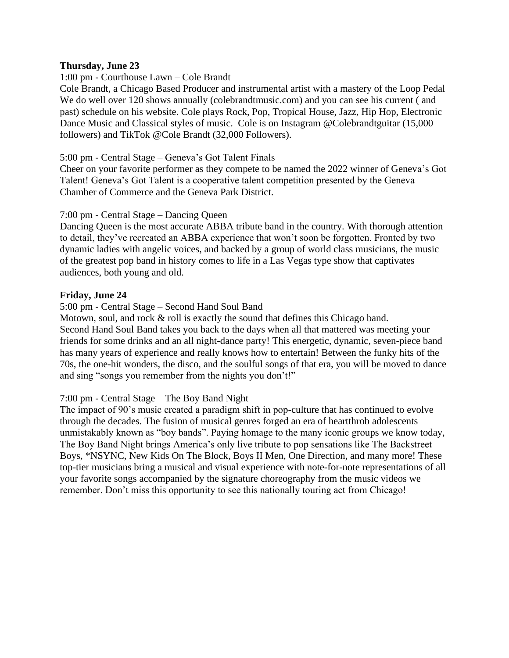# **Thursday, June 23**

# 1:00 pm - Courthouse Lawn – Cole Brandt

Cole Brandt, a Chicago Based Producer and instrumental artist with a mastery of the Loop Pedal We do well over 120 shows annually [\(colebrandtmusic.com\)](https://linkprotect.cudasvc.com/url?a=http%3a%2f%2fcolebrandtmusic.com%2f&c=E,1,FvPjuSLPDyNOFUWyh3phOB2oO77ZahE3kAIevOLfkUn-3OtjCgWKqQCzfRMMl90qoeqv5EgBbnxqkpMCupJ-p1Yq2E-DPjUIkxxcTy8oAs-qLVHV&typo=1) and you can see his current (and past) schedule on his website. Cole plays Rock, Pop, Tropical House, Jazz, Hip Hop, Electronic Dance Music and Classical styles of music. Cole is on Instagram @Colebrandtguitar (15,000 followers) and TikTok @Cole Brandt (32,000 Followers).

## 5:00 pm - Central Stage – Geneva's Got Talent Finals

Cheer on your favorite performer as they compete to be named the 2022 winner of Geneva's Got Talent! Geneva's Got Talent is a cooperative talent competition presented by the Geneva Chamber of Commerce and the Geneva Park District.

## 7:00 pm - Central Stage – Dancing Queen

Dancing Queen is the most accurate ABBA tribute band in the country. With thorough attention to detail, they've recreated an ABBA experience that won't soon be forgotten. Fronted by two dynamic ladies with angelic voices, and backed by a group of world class musicians, the music of the greatest pop band in history comes to life in a Las Vegas type show that captivates audiences, both young and old.

## **Friday, June 24**

5:00 pm - Central Stage – Second Hand Soul Band

Motown, soul, and rock & roll is exactly the sound that defines this Chicago band. Second Hand Soul Band takes you back to the days when all that mattered was meeting your friends for some drinks and an all night-dance party! This energetic, dynamic, seven-piece band has many years of experience and really knows how to entertain! Between the funky hits of the 70s, the one-hit wonders, the disco, and the soulful songs of that era, you will be moved to dance and sing "songs you remember from the nights you don't!"

#### 7:00 pm - Central Stage – The Boy Band Night

The impact of 90's music created a paradigm shift in pop-culture that has continued to evolve through the decades. The fusion of musical genres forged an era of heartthrob adolescents unmistakably known as "boy bands". Paying homage to the many iconic groups we know today, The Boy Band Night brings America's only live tribute to pop sensations like The Backstreet Boys, \*NSYNC, New Kids On The Block, Boys II Men, One Direction, and many more! These top-tier musicians bring a musical and visual experience with note-for-note representations of all your favorite songs accompanied by the signature choreography from the music videos we remember. Don't miss this opportunity to see this nationally touring act from Chicago!